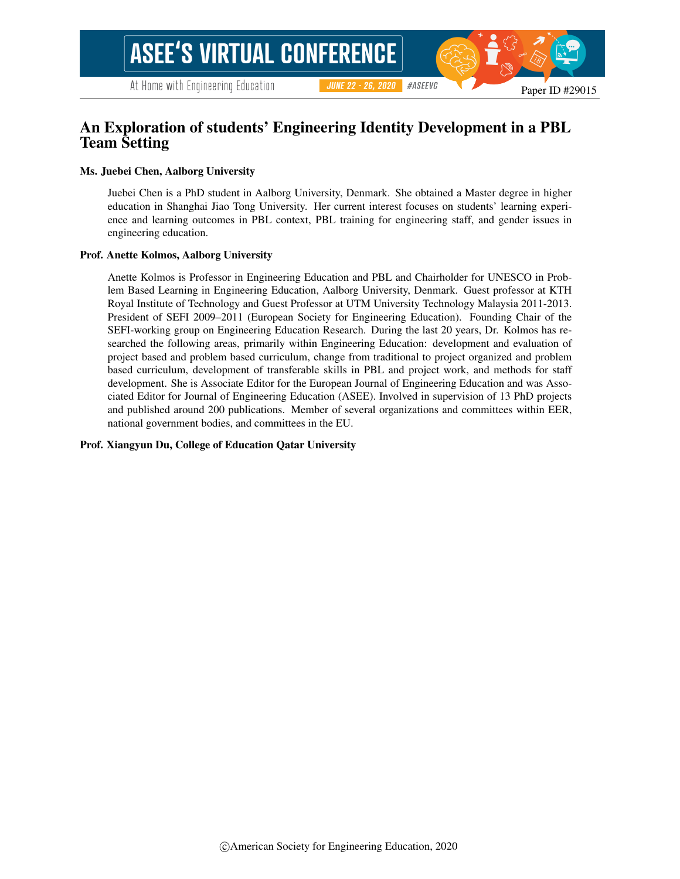## An Exploration of students' Engineering Identity Development in a PBL Team Setting

#### Ms. Juebei Chen, Aalborg University

Juebei Chen is a PhD student in Aalborg University, Denmark. She obtained a Master degree in higher education in Shanghai Jiao Tong University. Her current interest focuses on students' learning experience and learning outcomes in PBL context, PBL training for engineering staff, and gender issues in engineering education.

#### Prof. Anette Kolmos, Aalborg University

Anette Kolmos is Professor in Engineering Education and PBL and Chairholder for UNESCO in Problem Based Learning in Engineering Education, Aalborg University, Denmark. Guest professor at KTH Royal Institute of Technology and Guest Professor at UTM University Technology Malaysia 2011-2013. President of SEFI 2009–2011 (European Society for Engineering Education). Founding Chair of the SEFI-working group on Engineering Education Research. During the last 20 years, Dr. Kolmos has researched the following areas, primarily within Engineering Education: development and evaluation of project based and problem based curriculum, change from traditional to project organized and problem based curriculum, development of transferable skills in PBL and project work, and methods for staff development. She is Associate Editor for the European Journal of Engineering Education and was Associated Editor for Journal of Engineering Education (ASEE). Involved in supervision of 13 PhD projects and published around 200 publications. Member of several organizations and committees within EER, national government bodies, and committees in the EU.

#### Prof. Xiangyun Du, College of Education Qatar University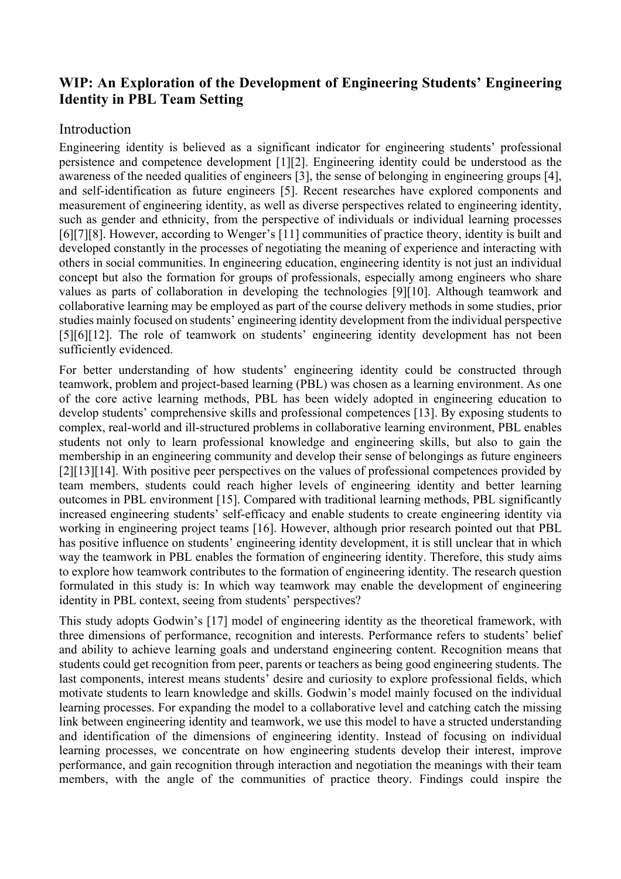# **WIP: An Exploration of the Development of Engineering Students' Engineering Identity in PBL Team Setting**

## Introduction

Engineering identity is believed as a significant indicator for engineering students' professional persistence and competence development [1][2]. Engineering identity could be understood as the awareness of the needed qualities of engineers [3], the sense of belonging in engineering groups [4], and self-identification as future engineers [5]. Recent researches have explored components and measurement of engineering identity, as well as diverse perspectives related to engineering identity, such as gender and ethnicity, from the perspective of individuals or individual learning processes [6][7][8]. However, according to Wenger's [11] communities of practice theory, identity is built and developed constantly in the processes of negotiating the meaning of experience and interacting with others in social communities. In engineering education, engineering identity is not just an individual concept but also the formation for groups of professionals, especially among engineers who share values as parts of collaboration in developing the technologies [9][10]. Although teamwork and collaborative learning may be employed as part of the course delivery methods in some studies, prior studies mainly focused on students' engineering identity development from the individual perspective [5][6][12]. The role of teamwork on students' engineering identity development has not been sufficiently evidenced.

For better understanding of how students' engineering identity could be constructed through teamwork, problem and project-based learning (PBL) was chosen as a learning environment. As one of the core active learning methods, PBL has been widely adopted in engineering education to develop students' comprehensive skills and professional competences [13]. By exposing students to complex, real-world and ill-structured problems in collaborative learning environment, PBL enables students not only to learn professional knowledge and engineering skills, but also to gain the membership in an engineering community and develop their sense of belongings as future engineers [2][13][14]. With positive peer perspectives on the values of professional competences provided by team members, students could reach higher levels of engineering identity and better learning outcomes in PBL environment [15]. Compared with traditional learning methods, PBL significantly increased engineering students' self-efficacy and enable students to create engineering identity via working in engineering project teams [16]. However, although prior research pointed out that PBL has positive influence on students' engineering identity development, it is still unclear that in which way the teamwork in PBL enables the formation of engineering identity. Therefore, this study aims to explore how teamwork contributes to the formation of engineering identity. The research question formulated in this study is: In which way teamwork may enable the development of engineering identity in PBL context, seeing from students' perspectives?

This study adopts Godwin's [17] model of engineering identity as the theoretical framework, with three dimensions of performance, recognition and interests. Performance refers to students' belief and ability to achieve learning goals and understand engineering content. Recognition means that students could get recognition from peer, parents or teachers as being good engineering students. The last components, interest means students' desire and curiosity to explore professional fields, which motivate students to learn knowledge and skills. Godwin's model mainly focused on the individual learning processes. For expanding the model to a collaborative level and catching catch the missing link between engineering identity and teamwork, we use this model to have a structed understanding and identification of the dimensions of engineering identity. Instead of focusing on individual learning processes, we concentrate on how engineering students develop their interest, improve performance, and gain recognition through interaction and negotiation the meanings with their team members, with the angle of the communities of practice theory. Findings could inspire the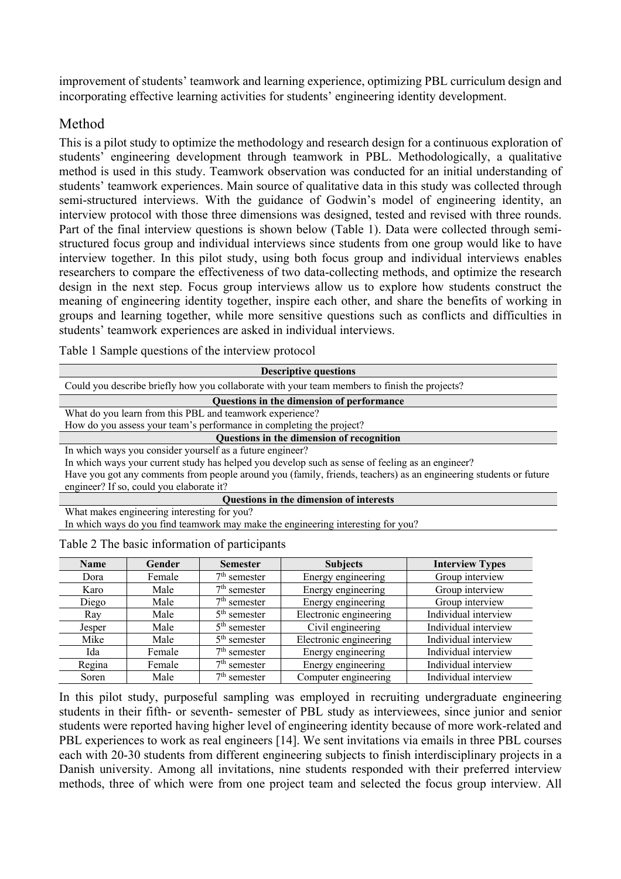improvement of students' teamwork and learning experience, optimizing PBL curriculum design and incorporating effective learning activities for students' engineering identity development.

# Method

This is a pilot study to optimize the methodology and research design for a continuous exploration of students' engineering development through teamwork in PBL. Methodologically, a qualitative method is used in this study. Teamwork observation was conducted for an initial understanding of students' teamwork experiences. Main source of qualitative data in this study was collected through semi-structured interviews. With the guidance of Godwin's model of engineering identity, an interview protocol with those three dimensions was designed, tested and revised with three rounds. Part of the final interview questions is shown below (Table 1). Data were collected through semistructured focus group and individual interviews since students from one group would like to have interview together. In this pilot study, using both focus group and individual interviews enables researchers to compare the effectiveness of two data-collecting methods, and optimize the research design in the next step. Focus group interviews allow us to explore how students construct the meaning of engineering identity together, inspire each other, and share the benefits of working in groups and learning together, while more sensitive questions such as conflicts and difficulties in students' teamwork experiences are asked in individual interviews.

Table 1 Sample questions of the interview protocol

| <b>Descriptive questions</b>                                                                                      |  |  |  |  |  |
|-------------------------------------------------------------------------------------------------------------------|--|--|--|--|--|
| Could you describe briefly how you collaborate with your team members to finish the projects?                     |  |  |  |  |  |
| Questions in the dimension of performance                                                                         |  |  |  |  |  |
| What do you learn from this PBL and teamwork experience?                                                          |  |  |  |  |  |
| How do you assess your team's performance in completing the project?                                              |  |  |  |  |  |
| Questions in the dimension of recognition                                                                         |  |  |  |  |  |
| In which ways you consider yourself as a future engineer?                                                         |  |  |  |  |  |
| In which ways your current study has helped you develop such as sense of feeling as an engineer?                  |  |  |  |  |  |
| Have you got any comments from people around you (family, friends, teachers) as an engineering students or future |  |  |  |  |  |
| engineer? If so, could you elaborate it?                                                                          |  |  |  |  |  |
| Questions in the dimension of interests                                                                           |  |  |  |  |  |
| What makes engineering interesting for you?                                                                       |  |  |  |  |  |
| In which ways do you find teamwork may make the engineering interesting for you?                                  |  |  |  |  |  |
| Table 2 The basic information of participants                                                                     |  |  |  |  |  |
| <b>Subjects</b><br><b>Name</b><br>Gender<br><b>Interview Types</b><br><b>Semester</b>                             |  |  |  |  |  |

| <b>Name</b> | Gender | <b>Semester</b> | <b>Subjects</b>        | <b>Interview Types</b> |
|-------------|--------|-----------------|------------------------|------------------------|
| Dora        | Female | $7th$ semester  | Energy engineering     | Group interview        |
| Karo        | Male   | $7th$ semester  | Energy engineering     | Group interview        |
| Diego       | Male   | $7th$ semester  | Energy engineering     | Group interview        |
| Ray         | Male   | $5th$ semester  | Electronic engineering | Individual interview   |
| Jesper      | Male   | $5th$ semester  | Civil engineering      | Individual interview   |
| Mike        | Male   | $5th$ semester  | Electronic engineering | Individual interview   |
| Ida         | Female | $7th$ semester  | Energy engineering     | Individual interview   |
| Regina      | Female | $7th$ semester  | Energy engineering     | Individual interview   |
| Soren       | Male   | $7th$ semester  | Computer engineering   | Individual interview   |

In this pilot study, purposeful sampling was employed in recruiting undergraduate engineering students in their fifth- or seventh- semester of PBL study as interviewees, since junior and senior students were reported having higher level of engineering identity because of more work-related and PBL experiences to work as real engineers [14]. We sent invitations via emails in three PBL courses each with 20-30 students from different engineering subjects to finish interdisciplinary projects in a Danish university. Among all invitations, nine students responded with their preferred interview methods, three of which were from one project team and selected the focus group interview. All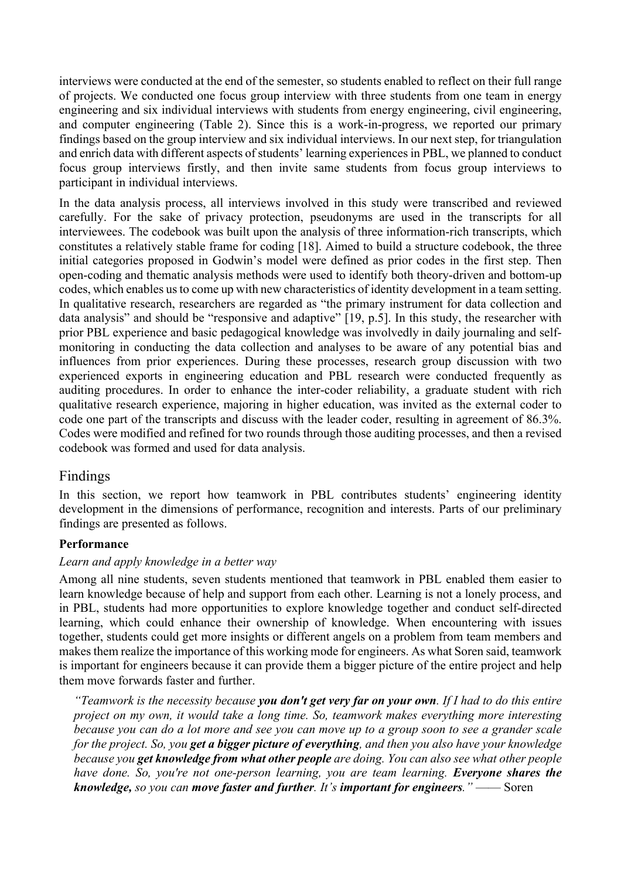interviews were conducted at the end of the semester, so students enabled to reflect on their full range of projects. We conducted one focus group interview with three students from one team in energy engineering and six individual interviews with students from energy engineering, civil engineering, and computer engineering (Table 2). Since this is a work-in-progress, we reported our primary findings based on the group interview and six individual interviews. In our next step, for triangulation and enrich data with different aspects of students' learning experiences in PBL, we planned to conduct focus group interviews firstly, and then invite same students from focus group interviews to participant in individual interviews.

In the data analysis process, all interviews involved in this study were transcribed and reviewed carefully. For the sake of privacy protection, pseudonyms are used in the transcripts for all interviewees. The codebook was built upon the analysis of three information-rich transcripts, which constitutes a relatively stable frame for coding [18]. Aimed to build a structure codebook, the three initial categories proposed in Godwin's model were defined as prior codes in the first step. Then open-coding and thematic analysis methods were used to identify both theory-driven and bottom-up codes, which enables us to come up with new characteristics of identity development in a team setting. In qualitative research, researchers are regarded as "the primary instrument for data collection and data analysis" and should be "responsive and adaptive" [19, p.5]. In this study, the researcher with prior PBL experience and basic pedagogical knowledge was involvedly in daily journaling and selfmonitoring in conducting the data collection and analyses to be aware of any potential bias and influences from prior experiences. During these processes, research group discussion with two experienced exports in engineering education and PBL research were conducted frequently as auditing procedures. In order to enhance the inter-coder reliability, a graduate student with rich qualitative research experience, majoring in higher education, was invited as the external coder to code one part of the transcripts and discuss with the leader coder, resulting in agreement of 86.3%. Codes were modified and refined for two rounds through those auditing processes, and then a revised codebook was formed and used for data analysis.

## Findings

In this section, we report how teamwork in PBL contributes students' engineering identity development in the dimensions of performance, recognition and interests. Parts of our preliminary findings are presented as follows.

### **Performance**

### *Learn and apply knowledge in a better way*

Among all nine students, seven students mentioned that teamwork in PBL enabled them easier to learn knowledge because of help and support from each other. Learning is not a lonely process, and in PBL, students had more opportunities to explore knowledge together and conduct self-directed learning, which could enhance their ownership of knowledge. When encountering with issues together, students could get more insights or different angels on a problem from team members and makes them realize the importance of this working mode for engineers. As what Soren said, teamwork is important for engineers because it can provide them a bigger picture of the entire project and help them move forwards faster and further.

*"Teamwork is the necessity because you don't get very far on your own. If I had to do this entire project on my own, it would take a long time. So, teamwork makes everything more interesting because you can do a lot more and see you can move up to a group soon to see a grander scale for the project. So, you get a bigger picture of everything, and then you also have your knowledge because you get knowledge from what other people are doing. You can also see what other people have done. So, you're not one-person learning, you are team learning. Everyone shares the knowledge, so you can move faster and further. It's important for engineers."* —— Soren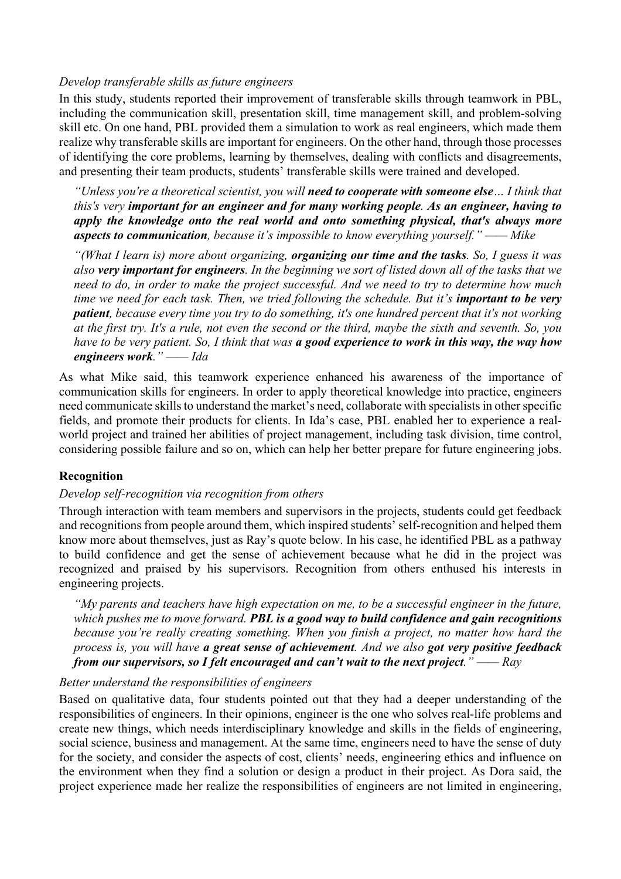### *Develop transferable skills as future engineers*

In this study, students reported their improvement of transferable skills through teamwork in PBL, including the communication skill, presentation skill, time management skill, and problem-solving skill etc. On one hand, PBL provided them a simulation to work as real engineers, which made them realize why transferable skills are important for engineers. On the other hand, through those processes of identifying the core problems, learning by themselves, dealing with conflicts and disagreements, and presenting their team products, students' transferable skills were trained and developed.

*"Unless you're a theoretical scientist, you will need to cooperate with someone else… I think that this's very important for an engineer and for many working people. As an engineer, having to apply the knowledge onto the real world and onto something physical, that's always more aspects to communication, because it's impossible to know everything yourself." —— Mike*

*"(What I learn is) more about organizing, organizing our time and the tasks. So, I guess it was also very important for engineers. In the beginning we sort of listed down all of the tasks that we need to do, in order to make the project successful. And we need to try to determine how much time we need for each task. Then, we tried following the schedule. But it's <i>important to be very patient, because every time you try to do something, it's one hundred percent that it's not working at the first try. It's a rule, not even the second or the third, maybe the sixth and seventh. So, you have to be very patient. So, I think that was a good experience to work in this way, the way how engineers work." —— Ida*

As what Mike said, this teamwork experience enhanced his awareness of the importance of communication skills for engineers. In order to apply theoretical knowledge into practice, engineers need communicate skills to understand the market's need, collaborate with specialists in other specific fields, and promote their products for clients. In Ida's case, PBL enabled her to experience a realworld project and trained her abilities of project management, including task division, time control, considering possible failure and so on, which can help her better prepare for future engineering jobs.

### **Recognition**

### *Develop self-recognition via recognition from others*

Through interaction with team members and supervisors in the projects, students could get feedback and recognitions from people around them, which inspired students' self-recognition and helped them know more about themselves, just as Ray's quote below. In his case, he identified PBL as a pathway to build confidence and get the sense of achievement because what he did in the project was recognized and praised by his supervisors. Recognition from others enthused his interests in engineering projects.

*"My parents and teachers have high expectation on me, to be a successful engineer in the future, which pushes me to move forward. PBL is a good way to build confidence and gain recognitions because you're really creating something. When you finish a project, no matter how hard the process is, you will have a great sense of achievement. And we also got very positive feedback from our supervisors, so I felt encouraged and can't wait to the next project." —— Ray*

### *Better understand the responsibilities of engineers*

Based on qualitative data, four students pointed out that they had a deeper understanding of the responsibilities of engineers. In their opinions, engineer is the one who solves real-life problems and create new things, which needs interdisciplinary knowledge and skills in the fields of engineering, social science, business and management. At the same time, engineers need to have the sense of duty for the society, and consider the aspects of cost, clients' needs, engineering ethics and influence on the environment when they find a solution or design a product in their project. As Dora said, the project experience made her realize the responsibilities of engineers are not limited in engineering,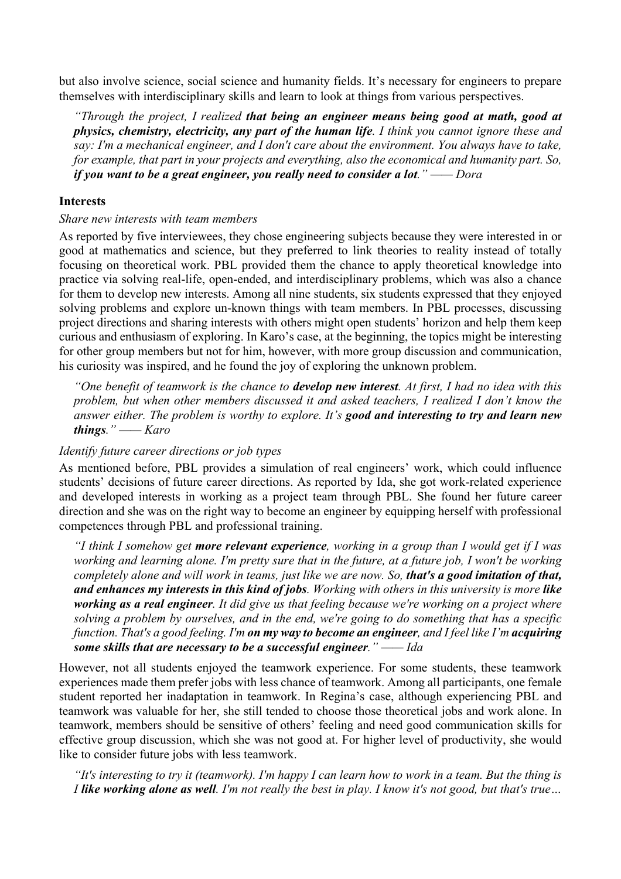but also involve science, social science and humanity fields. It's necessary for engineers to prepare themselves with interdisciplinary skills and learn to look at things from various perspectives.

*"Through the project, I realized that being an engineer means being good at math, good at physics, chemistry, electricity, any part of the human life. I think you cannot ignore these and say: I'm a mechanical engineer, and I don't care about the environment. You always have to take, for example, that part in your projects and everything, also the economical and humanity part. So, if you want to be a great engineer, you really need to consider a lot." —— Dora*

### **Interests**

#### *Share new interests with team members*

As reported by five interviewees, they chose engineering subjects because they were interested in or good at mathematics and science, but they preferred to link theories to reality instead of totally focusing on theoretical work. PBL provided them the chance to apply theoretical knowledge into practice via solving real-life, open-ended, and interdisciplinary problems, which was also a chance for them to develop new interests. Among all nine students, six students expressed that they enjoyed solving problems and explore un-known things with team members. In PBL processes, discussing project directions and sharing interests with others might open students' horizon and help them keep curious and enthusiasm of exploring. In Karo's case, at the beginning, the topics might be interesting for other group members but not for him, however, with more group discussion and communication, his curiosity was inspired, and he found the joy of exploring the unknown problem.

*"One benefit of teamwork is the chance to develop new interest. At first, I had no idea with this problem, but when other members discussed it and asked teachers, I realized I don't know the answer either. The problem is worthy to explore. It's good and interesting to try and learn new things." —— Karo*

#### *Identify future career directions or job types*

As mentioned before, PBL provides a simulation of real engineers' work, which could influence students' decisions of future career directions. As reported by Ida, she got work-related experience and developed interests in working as a project team through PBL. She found her future career direction and she was on the right way to become an engineer by equipping herself with professional competences through PBL and professional training.

*"I think I somehow get more relevant experience, working in a group than I would get if I was working and learning alone. I'm pretty sure that in the future, at a future job, I won't be working completely alone and will work in teams, just like we are now. So, that's a good imitation of that, and enhances my interests in this kind of jobs. Working with others in this university is more like working as a real engineer. It did give us that feeling because we're working on a project where solving a problem by ourselves, and in the end, we're going to do something that has a specific function. That's a good feeling. I'm on my way to become an engineer, and I feel like I'm acquiring some skills that are necessary to be a successful engineer." —— Ida*

However, not all students enjoyed the teamwork experience. For some students, these teamwork experiences made them prefer jobs with less chance of teamwork. Among all participants, one female student reported her inadaptation in teamwork. In Regina's case, although experiencing PBL and teamwork was valuable for her, she still tended to choose those theoretical jobs and work alone. In teamwork, members should be sensitive of others' feeling and need good communication skills for effective group discussion, which she was not good at. For higher level of productivity, she would like to consider future jobs with less teamwork.

*"It's interesting to try it (teamwork). I'm happy I can learn how to work in a team. But the thing is I like working alone as well. I'm not really the best in play. I know it's not good, but that's true…*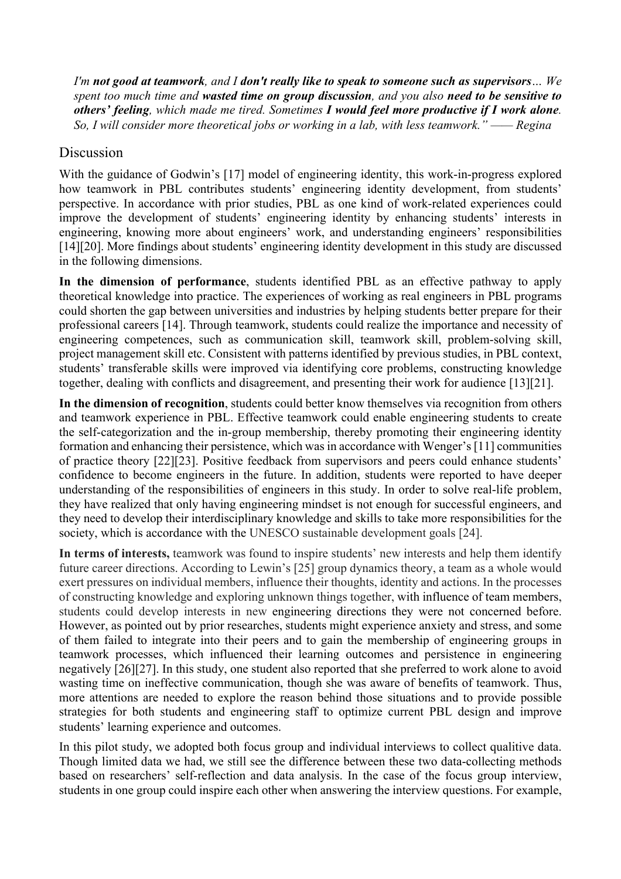*I'm not good at teamwork, and I don't really like to speak to someone such as supervisors… We spent too much time and wasted time on group discussion, and you also need to be sensitive to others' feeling, which made me tired. Sometimes I would feel more productive if I work alone. So, I will consider more theoretical jobs or working in a lab, with less teamwork." —— Regina*

## Discussion

With the guidance of Godwin's [17] model of engineering identity, this work-in-progress explored how teamwork in PBL contributes students' engineering identity development, from students' perspective. In accordance with prior studies, PBL as one kind of work-related experiences could improve the development of students' engineering identity by enhancing students' interests in engineering, knowing more about engineers' work, and understanding engineers' responsibilities [14][20]. More findings about students' engineering identity development in this study are discussed in the following dimensions.

**In the dimension of performance**, students identified PBL as an effective pathway to apply theoretical knowledge into practice. The experiences of working as real engineers in PBL programs could shorten the gap between universities and industries by helping students better prepare for their professional careers [14]. Through teamwork, students could realize the importance and necessity of engineering competences, such as communication skill, teamwork skill, problem-solving skill, project management skill etc. Consistent with patterns identified by previous studies, in PBL context, students' transferable skills were improved via identifying core problems, constructing knowledge together, dealing with conflicts and disagreement, and presenting their work for audience [13][21].

**In the dimension of recognition**, students could better know themselves via recognition from others and teamwork experience in PBL. Effective teamwork could enable engineering students to create the self-categorization and the in-group membership, thereby promoting their engineering identity formation and enhancing their persistence, which was in accordance with Wenger's [11] communities of practice theory [22][23]. Positive feedback from supervisors and peers could enhance students' confidence to become engineers in the future. In addition, students were reported to have deeper understanding of the responsibilities of engineers in this study. In order to solve real-life problem, they have realized that only having engineering mindset is not enough for successful engineers, and they need to develop their interdisciplinary knowledge and skills to take more responsibilities for the society, which is accordance with the UNESCO sustainable development goals [24].

**In terms of interests,** teamwork was found to inspire students' new interests and help them identify future career directions. According to Lewin's [25] group dynamics theory, a team as a whole would exert pressures on individual members, influence their thoughts, identity and actions. In the processes of constructing knowledge and exploring unknown things together, with influence of team members, students could develop interests in new engineering directions they were not concerned before. However, as pointed out by prior researches, students might experience anxiety and stress, and some of them failed to integrate into their peers and to gain the membership of engineering groups in teamwork processes, which influenced their learning outcomes and persistence in engineering negatively [26][27]. In this study, one student also reported that she preferred to work alone to avoid wasting time on ineffective communication, though she was aware of benefits of teamwork. Thus, more attentions are needed to explore the reason behind those situations and to provide possible strategies for both students and engineering staff to optimize current PBL design and improve students' learning experience and outcomes.

In this pilot study, we adopted both focus group and individual interviews to collect qualitive data. Though limited data we had, we still see the difference between these two data-collecting methods based on researchers' self-reflection and data analysis. In the case of the focus group interview, students in one group could inspire each other when answering the interview questions. For example,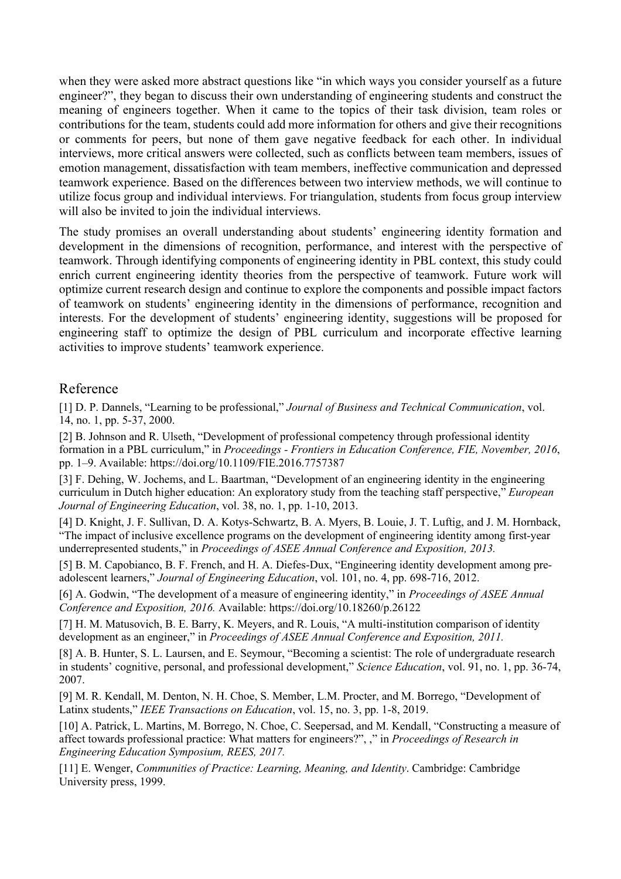when they were asked more abstract questions like "in which ways you consider yourself as a future engineer?", they began to discuss their own understanding of engineering students and construct the meaning of engineers together. When it came to the topics of their task division, team roles or contributions for the team, students could add more information for others and give their recognitions or comments for peers, but none of them gave negative feedback for each other. In individual interviews, more critical answers were collected, such as conflicts between team members, issues of emotion management, dissatisfaction with team members, ineffective communication and depressed teamwork experience. Based on the differences between two interview methods, we will continue to utilize focus group and individual interviews. For triangulation, students from focus group interview will also be invited to join the individual interviews.

The study promises an overall understanding about students' engineering identity formation and development in the dimensions of recognition, performance, and interest with the perspective of teamwork. Through identifying components of engineering identity in PBL context, this study could enrich current engineering identity theories from the perspective of teamwork. Future work will optimize current research design and continue to explore the components and possible impact factors of teamwork on students' engineering identity in the dimensions of performance, recognition and interests. For the development of students' engineering identity, suggestions will be proposed for engineering staff to optimize the design of PBL curriculum and incorporate effective learning activities to improve students' teamwork experience.

## Reference

[1] D. P. Dannels, "Learning to be professional," *Journal of Business and Technical Communication*, vol. 14, no. 1, pp. 5-37, 2000.

[2] B. Johnson and R. Ulseth, "Development of professional competency through professional identity formation in a PBL curriculum," in *Proceedings - Frontiers in Education Conference, FIE, November, 2016*, pp. 1–9. Available: https://doi.org/10.1109/FIE.2016.7757387

[3] F. Dehing, W. Jochems, and L. Baartman, "Development of an engineering identity in the engineering curriculum in Dutch higher education: An exploratory study from the teaching staff perspective," *European Journal of Engineering Education*, vol. 38, no. 1, pp. 1-10, 2013.

[4] D. Knight, J. F. Sullivan, D. A. Kotys-Schwartz, B. A. Myers, B. Louie, J. T. Luftig, and J. M. Hornback, "The impact of inclusive excellence programs on the development of engineering identity among first-year underrepresented students," in *Proceedings of ASEE Annual Conference and Exposition, 2013.*

[5] B. M. Capobianco, B. F. French, and H. A. Diefes-Dux, "Engineering identity development among preadolescent learners," *Journal of Engineering Education*, vol. 101, no. 4, pp. 698-716, 2012.

[6] A. Godwin, "The development of a measure of engineering identity," in *Proceedings of ASEE Annual Conference and Exposition, 2016.* Available: https://doi.org/10.18260/p.26122

[7] H. M. Matusovich, B. E. Barry, K. Meyers, and R. Louis, "A multi-institution comparison of identity development as an engineer," in *Proceedings of ASEE Annual Conference and Exposition, 2011.*

[8] A. B. Hunter, S. L. Laursen, and E. Seymour, "Becoming a scientist: The role of undergraduate research in students' cognitive, personal, and professional development," *Science Education*, vol. 91, no. 1, pp. 36-74, 2007.

[9] M. R. Kendall, M. Denton, N. H. Choe, S. Member, L.M. Procter, and M. Borrego, "Development of Latinx students," *IEEE Transactions on Education*, vol. 15, no. 3, pp. 1-8, 2019.

[10] A. Patrick, L. Martins, M. Borrego, N. Choe, C. Seepersad, and M. Kendall, "Constructing a measure of affect towards professional practice: What matters for engineers?", ," in *Proceedings of Research in Engineering Education Symposium, REES, 2017.*

[11] E. Wenger, *Communities of Practice: Learning, Meaning, and Identity*. Cambridge: Cambridge University press, 1999.